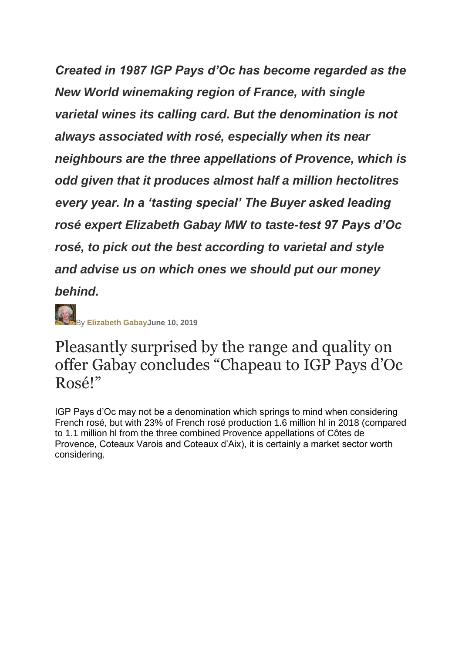*Created in 1987 IGP Pays d'Oc has become regarded as the New World winemaking region of France, with single varietal wines its calling card. But the denomination is not always associated with rosé, especially when its near neighbours are the three appellations of Provence, which is odd given that it produces almost half a million hectolitres every year. In a 'tasting special' The Buyer asked leading rosé expert Elizabeth Gabay MW to taste-test 97 Pays d'Oc rosé, to pick out the best according to varietal and style and advise us on which ones we should put our money behind.*

By **[Elizabeth GabayJ](http://www.the-buyer.net/author/elizabeth-gabay-mw/)une 10, 2019**

## Pleasantly surprised by the range and quality on offer Gabay concludes "Chapeau to IGP Pays d'Oc Rosé!"

IGP Pays d'Oc may not be a denomination which springs to mind when considering French rosé, but with 23% of French rosé production 1.6 million hl in 2018 (compared to 1.1 million hl from the three combined Provence appellations of Côtes de Provence, Coteaux Varois and Coteaux d'Aix), it is certainly a market sector worth considering.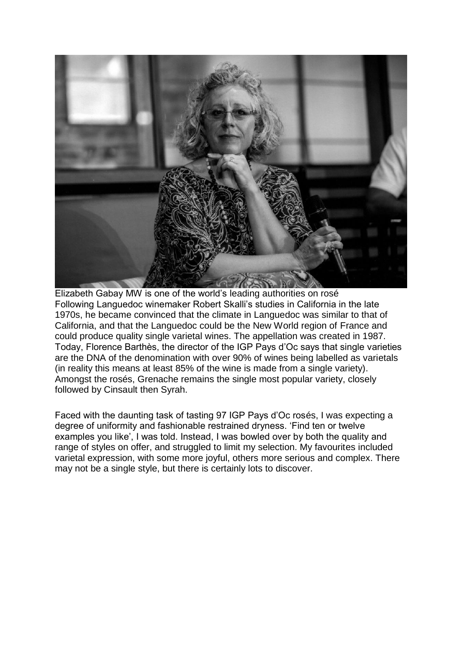

Elizabeth Gabay MW is one of the world's leading authorities on rosé Following Languedoc winemaker Robert Skalli's studies in California in the late 1970s, he became convinced that the climate in Languedoc was similar to that of California, and that the Languedoc could be the New World region of France and could produce quality single varietal wines. The appellation was created in 1987. Today, Florence Barthès, the director of the IGP Pays d'Oc says that single varieties are the DNA of the denomination with over 90% of wines being labelled as varietals (in reality this means at least 85% of the wine is made from a single variety). Amongst the rosés, Grenache remains the single most popular variety, closely followed by Cinsault then Syrah.

Faced with the daunting task of tasting 97 IGP Pays d'Oc rosés, I was expecting a degree of uniformity and fashionable restrained dryness. 'Find ten or twelve examples you like', I was told. Instead, I was bowled over by both the quality and range of styles on offer, and struggled to limit my selection. My favourites included varietal expression, with some more joyful, others more serious and complex. There may not be a single style, but there is certainly lots to discover.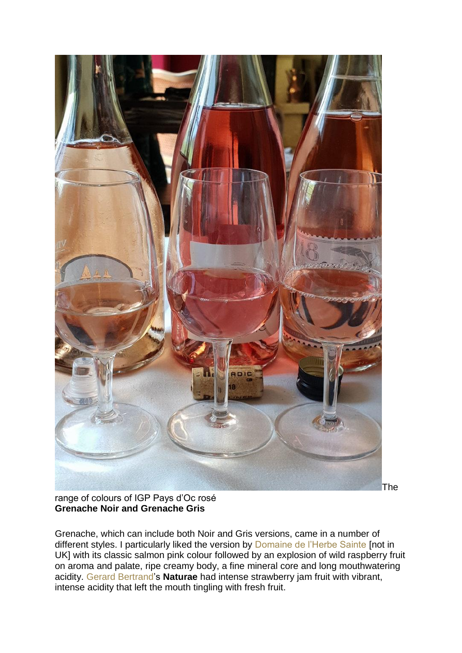

The

range of colours of IGP Pays d'Oc rosé **Grenache Noir and Grenache Gris**

Grenache, which can include both Noir and Gris versions, came in a number of different styles. I particularly liked the version by [Domaine de l'Herbe Sainte](http://www.herbe-sainte.fr/en/) [not in UK] with its classic salmon pink colour followed by an explosion of wild raspberry fruit on aroma and palate, ripe creamy body, a fine mineral core and long mouthwatering acidity. [Gerard Bertrand'](https://www.gerard-bertrand.com/en)s **Naturae** had intense strawberry jam fruit with vibrant, intense acidity that left the mouth tingling with fresh fruit.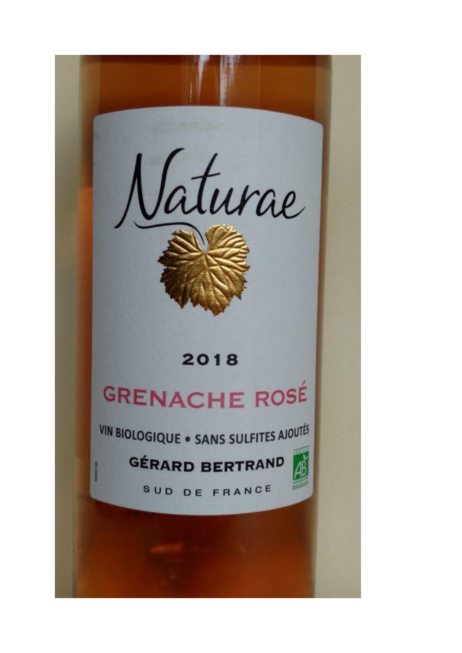

## 2018

# **GRENACHE ROSÉ**

VIN BIOLOGIQUE . SANS SULFITES AJOUTÉS

GÉRARD BERTRAND



SUD DE FRANCE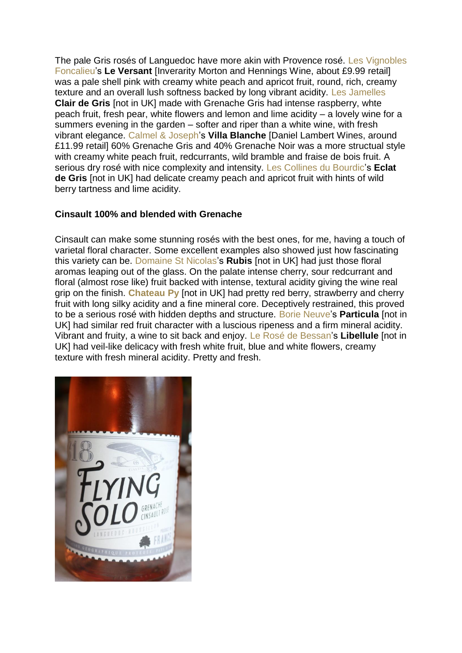The pale Gris rosés of Languedoc have more akin with Provence rosé. [Les Vignobles](http://www.foncalieu.com/)  [Foncalieu'](http://www.foncalieu.com/)s **Le Versant** [Inverarity Morton and Hennings Wine, about £9.99 retail] was a pale shell pink with creamy white peach and apricot fruit, round, rich, creamy texture and an overall lush softness backed by long vibrant acidity. [Les Jamelles](http://m.les-jamelles.com/en/wine/85/clair-de-gris) **Clair de Gris** [not in UK] made with Grenache Gris had intense raspberry, whte peach fruit, fresh pear, white flowers and lemon and lime acidity – a lovely wine for a summers evening in the garden – softer and riper than a white wine, with fresh vibrant elegance. [Calmel & Joseph's](https://www.calmel-joseph.com/en/our-wines/) **Villa Blanche** [Daniel Lambert Wines, around £11.99 retail] 60% Grenache Gris and 40% Grenache Noir was a more structual style with creamy white peach fruit, redcurrants, wild bramble and fraise de bois fruit. A serious dry rosé with nice complexity and intensity. [Les Collines du Bourdic'](https://www.collines-du-bourdic.com/)s **Eclat de Gris** [not in UK] had delicate creamy peach and apricot fruit with hints of wild berry tartness and lime acidity.

### **Cinsault 100% and blended with Grenache**

Cinsault can make some stunning rosés with the best ones, for me, having a touch of varietal floral character. Some excellent examples also showed just how fascinating this variety can be. [Domaine St Nicolas'](https://www.domainesaintnicolas.com/)s **Rubis** [not in UK] had just those floral aromas leaping out of the glass. On the palate intense cherry, sour redcurrant and floral (almost rose like) fruit backed with intense, textural acidity giving the wine real grip on the finish. **[Chateau Py](https://www.domaine-py.com/)** [not in UK] had pretty red berry, strawberry and cherry fruit with long silky acidity and a fine mineral core. Deceptively restrained, this proved to be a serious rosé with hidden depths and structure. Borie Neuve's **Particula** [not in UK] had similar red fruit character with a luscious ripeness and a firm mineral acidity. Vibrant and fruity, a wine to sit back and enjoy. [Le Rosé de Bessan'](https://en-gb.facebook.com/pages/category/Wine--Beer---Spirits-Store/LE-ROSE-De-Bessan-318649368171095/)s **Libellule** [not in UK] had veil-like delicacy with fresh white fruit, blue and white flowers, creamy texture with fresh mineral acidity. Pretty and fresh.

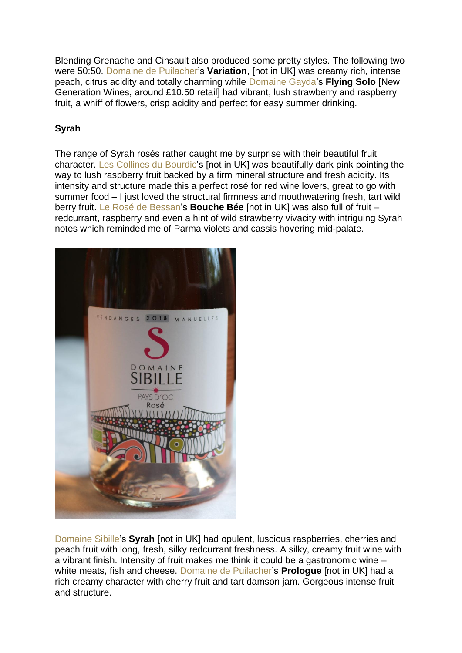Blending Grenache and Cinsault also produced some pretty styles. The following two were 50:50. [Domaine de Puilacher'](http://www.domainedepuilacher.fr/puilacher/Accueil.html)s **Variation**, [not in UK] was creamy rich, intense peach, citrus acidity and totally charming while [Domaine Gayda'](http://www.gaydavineyards.com/en)s **Flying Solo** [New Generation Wines, around £10.50 retail] had vibrant, lush strawberry and raspberry fruit, a whiff of flowers, crisp acidity and perfect for easy summer drinking.

#### **Syrah**

The range of Syrah rosés rather caught me by surprise with their beautiful fruit character. [Les Collines du Bourdic'](https://www.collines-du-bourdic.com/)s [not in UK] was beautifully dark pink pointing the way to lush raspberry fruit backed by a firm mineral structure and fresh acidity. Its intensity and structure made this a perfect rosé for red wine lovers, great to go with summer food – I just loved the structural firmness and mouthwatering fresh, tart wild berry fruit. [Le Rosé de Bessan'](https://en-gb.facebook.com/pages/category/Wine--Beer---Spirits-Store/LE-ROSE-De-Bessan-318649368171095/)s **Bouche Bée** [not in UK] was also full of fruit – redcurrant, raspberry and even a hint of wild strawberry vivacity with intriguing Syrah notes which reminded me of Parma violets and cassis hovering mid-palate.



[Domaine Sibille'](https://www.domainesibille.com/)s **Syrah** [not in UK] had opulent, luscious raspberries, cherries and peach fruit with long, fresh, silky redcurrant freshness. A silky, creamy fruit wine with a vibrant finish. Intensity of fruit makes me think it could be a gastronomic wine – white meats, fish and cheese. [Domaine de Puilacher's](http://www.domainedepuilacher.fr/puilacher/Accueil.html) **Prologue** [not in UK] had a rich creamy character with cherry fruit and tart damson jam. Gorgeous intense fruit and structure.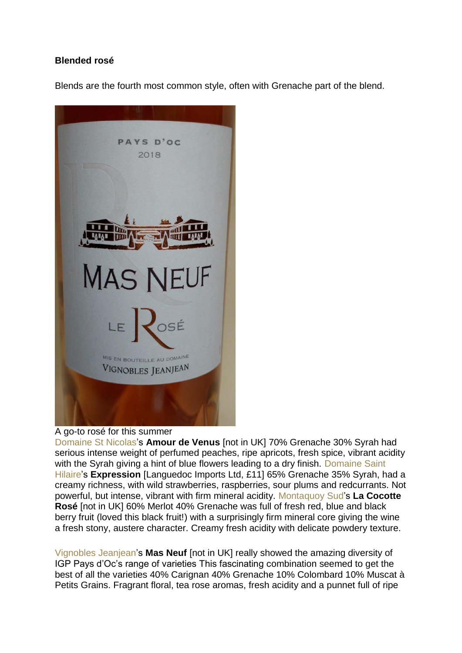#### **Blended rosé**

Blends are the fourth most common style, often with Grenache part of the blend.



#### A go-to rosé for this summer

[Domaine St Nicolas'](https://www.domainesaintnicolas.com/)s **Amour de Venus** [not in UK] 70% Grenache 30% Syrah had serious intense weight of perfumed peaches, ripe apricots, fresh spice, vibrant acidity with the Syrah giving a hint of blue flowers leading to a dry finish. Domaine Saint [Hilaire'](https://domainesaint-hilaire.com/)s **Expression** [Languedoc Imports Ltd, £11] 65% Grenache 35% Syrah, had a creamy richness, with wild strawberries, raspberries, sour plums and redcurrants. Not powerful, but intense, vibrant with firm mineral acidity. [Montaquoy Sud'](https://www.pagesjaunes.fr/pros/54019763)s **La Cocotte Rosé** [not in UK] 60% Merlot 40% Grenache was full of fresh red, blue and black berry fruit (loved this black fruit!) with a surprisingly firm mineral core giving the wine a fresh stony, austere character. Creamy fresh acidity with delicate powdery texture.

[Vignobles Jeanjean'](https://www.vignobles-jeanjean.com/en/homepage/)s **Mas Neuf** [not in UK] really showed the amazing diversity of IGP Pays d'Oc's range of varieties This fascinating combination seemed to get the best of all the varieties 40% Carignan 40% Grenache 10% Colombard 10% Muscat à Petits Grains. Fragrant floral, tea rose aromas, fresh acidity and a punnet full of ripe